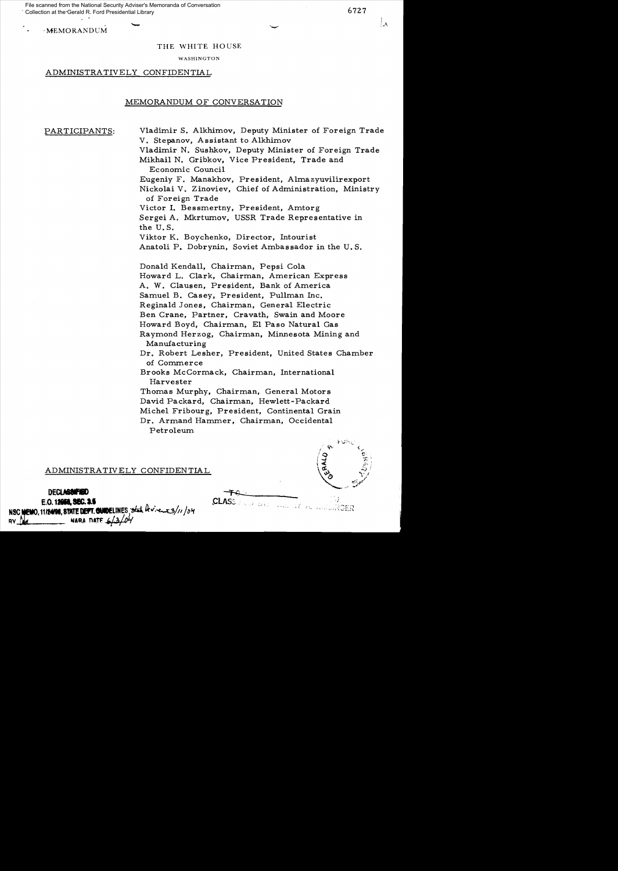Collection at the Gerald R. Ford Presidential Library<br>
MEMORANDUM File scanned from the National Security Adviser's Memoranda of Conversation

## THE WHITE HOUSE

WASHINGTON

## ADMINISTRATIVELY CONFIDENTIAL

## MEMORANDUM OF CONVERSATION

PARTICIPANTS: Vladimir S. Alkhimov, Deputy Minister of Foreign Trade V. Stepanov, Assistant to Alkhimov Vladimir N. Sushkov, Deputy Minister of Foreign Trade Mikhail N. Gribkov, Vice President, Trade and Economic Council Eugeniy F. Manakhov, President, Almazyuvilirexport Nickolai V. Zinoviev, Chief of Administration, Ministry of Foreign Trade Victor 1. Bessmertny, President, Amtorg Sergei A. Mkrtumov, USSR Trade Representative in the U. S. Viktor K. Boychenko, Director, Intourist Anatoli P. Dobrynin, Soviet Ambassador in the U. S. Donald Kendall, Chairman, Pepsi Cola Howard L. Clark, Chairman, American Express A. W. Clausen, President, Bank of America Samuel B. Casey, President, Pullman Inc. Reginald Jones, Chairman, General Electric Ben Crane, Partner, Cravath, Swain and Moore Howard Boyd, Chairman, EI Paso Natural Gas Raymond Herzog, Chairman, Minnesota Mining and Manufacturing Dr. Robert Lesher, President, United States Chamber of Commerce Brooks McCormack, Chairman, International Harvester Thomas Murphy, Chairman, General Motors David Packard, Chairman, Hewlett-Packard Michel Fribourg, President, Continental Grain Dr. Armand Hammer, Chairman, Occidental Petroleum

## ADMINISTRATIVELY CONFIDENTIAL

**DECLASSIFIED** E.O. 12058, SEC. 3.5 NSC MEMO, 11/24/08, STATE DEFT. CHARGELINES, state beviewer 3/11/04 NARA DATE 6/3/04

 $CLAS_{\rm 3.4.3~BH}$  $\rightarrow$   $\sim$   $\sim$   $\sim$   $\sim$   $\sim$   $\sim$   $\sim$ 

6727

 $\frac{1}{2}$   $\lambda$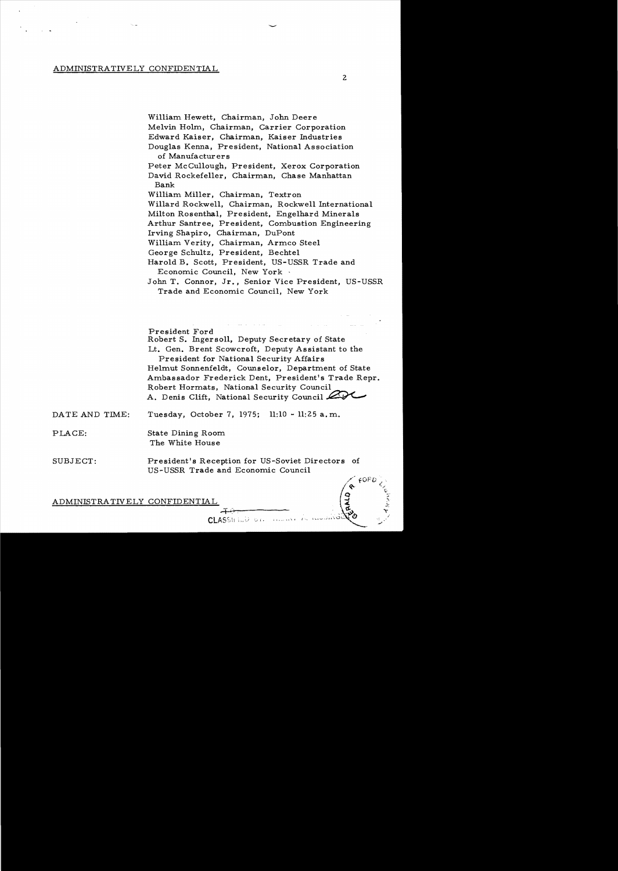## ADMINISTRATIVELY CONFIDENTIAL

William Hewett, Chairman, John Deere Melvin Holm, Chairman, Carrier Corporation Edward Kaiser, Chairman, Kaiser Industries Douglas Kenna, President, National Association of Manufactur ers Peter McCullough, President, Xerox Corporation David Rockefeller, Chairman, Chase Manhattan Bank William Miller, Chairman, Textron Willard Rockwell, Chairman, Rockwell International Milton Rosenthal, President, Engelhard Minerals Arthur Santree, President, Combustion Engineering Irving Shapiro, Chairman, DuPont William Verity, Chairman, Armco Steel George Schultz, President, Bechtel Harold B. Scott, President, US-USSR Trade and Economic Council, New York John T. Connor, Jr., Senior Vice President, US-USSR Trade and Economic Council, New York

President Ford

Robert S. Ingersoll, Deputy Secretary of State Lt. Gen. Brent Scowcroft, Deputy Assistant to the

President for National Security Affairs Helmut Sonnenfe1dt, Counselor, Department of State Ambassador Frederick Dent, President's Trade Repr.<br>
Robert Hormats, National Security Council<br>
A. Denis Clift, National Security Council Robert Hormats, National Security Council

DATE AND TIME: Tuesday, October 7, 1975; 11:10 - 11:25 a.m.

PLACE: State Dining Room The White House

SUBJECT: President's Reception for US-Soviet Directors of US-USSR Trade and Economic Council

 $CLASSU$ ,  $\cup$   $\cup$   $\cup$   $\cdots$ 

ADMINISTRATIVELY CONFIDENTIAL

2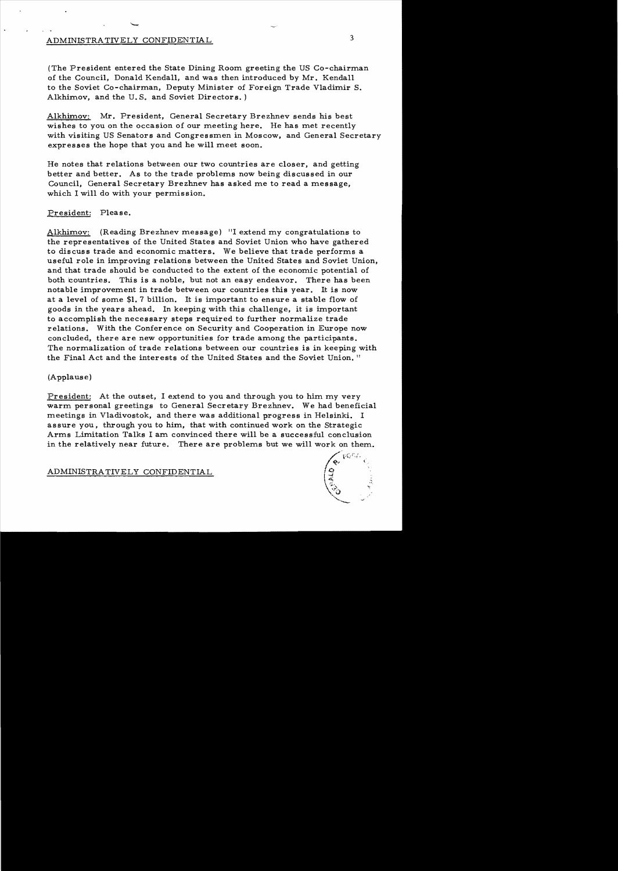# ADMINISTRATIVELY CONFIDENTIAL 3

(The President entered the State Dining Room greeting the US Co-chairman of the Council, Donald Kendall, and was then introduced by Mr. Kendall to the Soviet Co-chairman, Deputy Minister of Foreign Trade Vladimir S. Alkhimov, and the U. S. and Soviet Directors. )

Alkhimov: Mr. President, General Secretary Brezhnev sends his best wishes to you on the occasion of our meeting here. He has met recently with visiting US Senators and Congressmen in Moscow, and General Secretary expresses the hope that you and he will meet soon.

He notes that relations between our two countries are closer, and getting better and better. As to the trade problems now being discussed in our Council, General Secretary Brezhnev has asked me to read a message, which I will do with your permission.

## President: Please.

Alkhimov: (Reading Brezhnev message) "I extend my congratulations to the representatives of the United States and Soviet Union who have gathered to discuss trade and economic matters. We believe that trade performs a useful role in improving relations between the United States and Soviet Union, and that trade should be conducted to the extent of the economic potential of both countries. This is a noble, but not an easy endeavor. There has been notable improvement in trade between our countries this year. It is now at a level of some \$1. 7 billion. It is important to ensure a stable flow of goods in the years ahead. In keeping with this challenge, it is important to accomplish the necessary steps required to further normalize trade relations. With the Conference on Security and Cooperation in Europe now concluded, there are new opportunities for trade among the participants. The normalization of trade relations between our countries is in keeping with the Final Act and the interests of the United States and the Soviet Union."

## (Applause)

President: At the outset, I extend to you and through you to him my very warm personal greetings to General Secretary Brezhnev. We had beneficial meetings in Vladivostok, and there was additional progress in Helsinki. I assure you, through you to him, that with continued work on the Strategic Arms Limitation Talks I am convinced there will be a successful conclusion in the relatively near future. There are problems but we will work on them.

 $ADMINISTRATIVELY CONFIDENTIAL$ 

~'  $\sqrt{2}$ '(I ",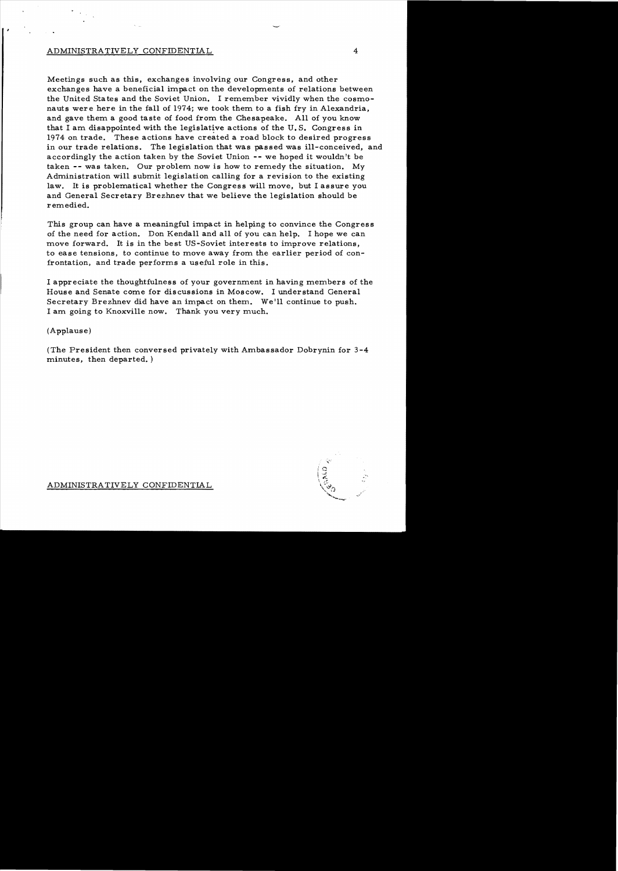# ADMINISTRATIVELY CONFIDENTIAL 4

Meetings such as this, exchanges involving our Congress, and other exchanges have a beneficial impact on the developments of relations between the United States and the Soviet Union. I remember vividly when the cosmonauts were here in the fall of 1974; we took them to a fish fry in Alexandria, and gave them a good taste of food from the Chesapeake. All of you know that I am disappointed with the legislative actions of the U.S. Congress in 1974 on trade. These actions have created a road block to desired progress in our trade relations. The legislation that was passed was ill-conceived, and accordingly the action taken by the Soviet Union -- we hoped it wouldn't be taken **--** was taken. Our problem now is how to remedy the situation. My Administration will submit legislation calling for a revision to the existing law. It is problematical whether the Congress will move, but I assure you and General Secretary Brezhnev that we believe the legislation should be remedied.

This group can have a meaningful impact in helping to convince the Congress of the need for action. Don Kendall and all of you can help. I hope we can move forward. It is in the best US-Soviet interests to improve relations, to ease tensions, to continue to move away from the earlier period of con frontation, and trade performs a useful role in this.

I appreciate the thoughtfulness of your government in having members of the House and Senate come for discussions in Moscow. I understand General Secretary Brezhnev did have an impact on them. We'll continue to push. I am going to Knoxville now. Thank you very much.

(Applause)

(The President then conversed privately with Ambassador Dobrynin for 3-4 minutes, then departed. )

ADMINISTRATIVELY CONFIDENTIAL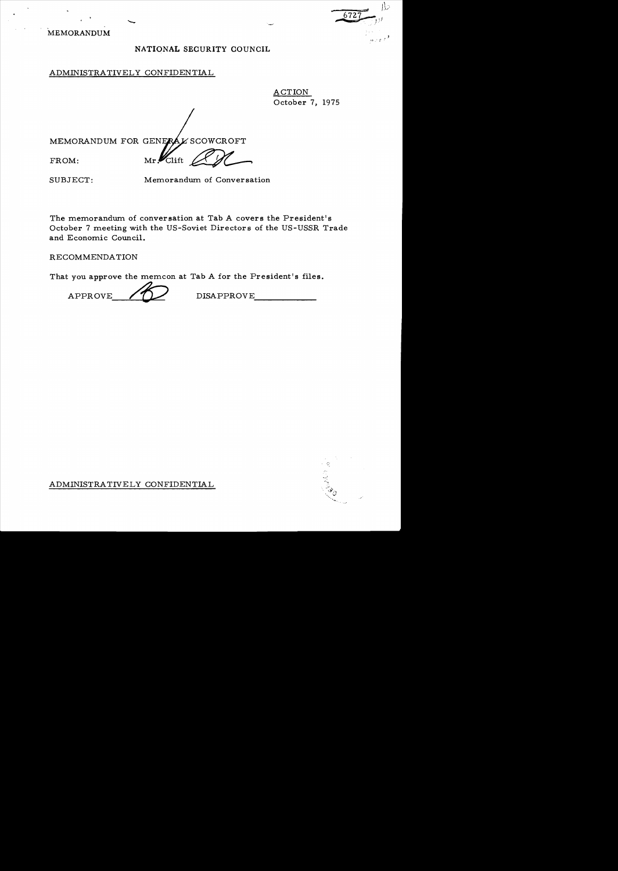MEMORANDUM

# NATIONAL SECURITY COUNCIL

# ADMINISTRATIVELY CONFIDENTIAL

**ACTION** October 7, 1975

MEMORANDUM FOR GENER SCOWCROFT

FROM:

 $Mr$  Clift

SUBJECT:

Memorandum of Conversation

The memorandum of conversation at Tab A covers the President's October 7 meeting with the US-Soviet Directors of the US-USSR Trade and Economic Council.

**RECOMMENDATION** 

That you approve the memcon at Tab A for the President's files.

**APPROVE** 

**DISAPPROVE** 



ADMINISTRATIVELY CONFIDENTIAL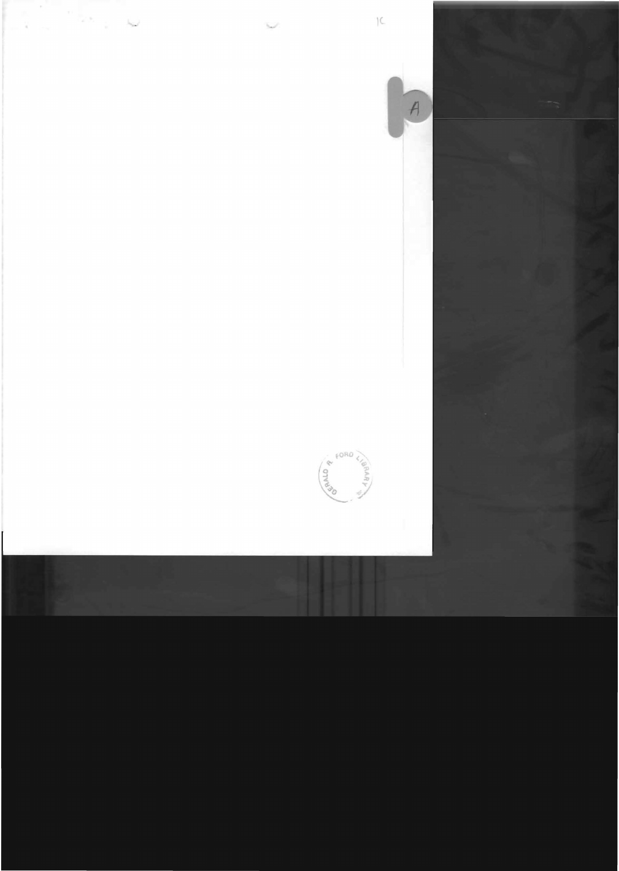